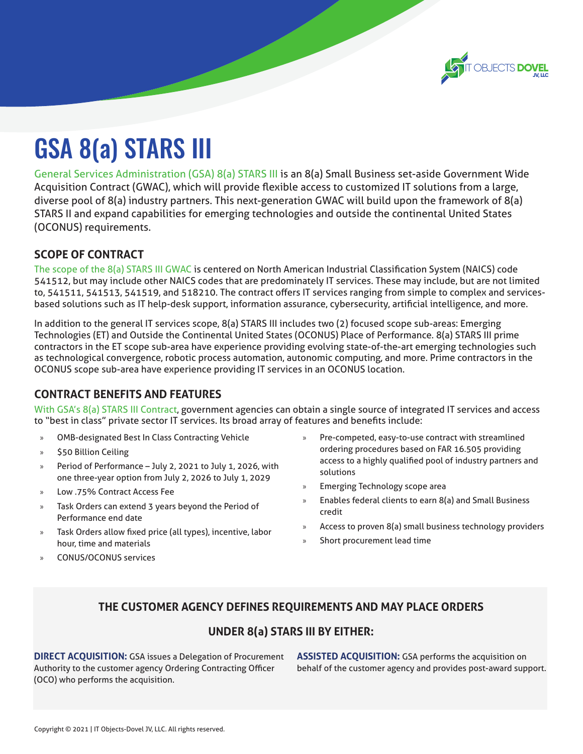

# GSA 8(a) STARS III

General Services Administration (GSA) 8(a) STARS III is an 8(a) Small Business set-aside Government Wide Acquisition Contract (GWAC), which will provide flexible access to customized IT solutions from a large, diverse pool of 8(a) industry partners. This next-generation GWAC will build upon the framework of 8(a) STARS II and expand capabilities for emerging technologies and outside the continental United States (OCONUS) requirements.

#### **SCOPE OF CONTRACT**

The scope of the 8(a) STARS III GWAC is centered on North American Industrial Classification System (NAICS) code 541512, but may include other NAICS codes that are predominately IT services. These may include, but are not limited to, 541511, 541513, 541519, and 518210. The contract offers IT services ranging from simple to complex and servicesbased solutions such as IT help-desk support, information assurance, cybersecurity, artificial intelligence, and more.

In addition to the general IT services scope, 8(a) STARS III includes two (2) focused scope sub-areas: Emerging Technologies (ET) and Outside the Continental United States (OCONUS) Place of Performance. 8(a) STARS III prime contractors in the ET scope sub-area have experience providing evolving state-of-the-art emerging technologies such as technological convergence, robotic process automation, autonomic computing, and more. Prime contractors in the OCONUS scope sub-area have experience providing IT services in an OCONUS location.

## **CONTRACT BENEFITS AND FEATURES**

With GSA's 8(a) STARS III Contract, government agencies can obtain a single source of integrated IT services and access to "best in class" private sector IT services. Its broad array of features and benefits include:

- » OMB-designated Best In Class Contracting Vehicle
- » \$50 Billion Ceiling
- » Period of Performance July 2, 2021 to July 1, 2026, with one three-year option from July 2, 2026 to July 1, 2029
- » Low .75% Contract Access Fee
- » Task Orders can extend 3 years beyond the Period of Performance end date
- Task Orders allow fixed price (all types), incentive, labor hour, time and materials
- » CONUS/OCONUS services
- » Pre-competed, easy-to-use contract with streamlined ordering procedures based on FAR 16.505 providing access to a highly qualified pool of industry partners and solutions
- » Emerging Technology scope area
- » Enables federal clients to earn 8(a) and Small Business credit
- Access to proven 8(a) small business technology providers
- Short procurement lead time

#### **THE CUSTOMER AGENCY DEFINES REQUIREMENTS AND MAY PLACE ORDERS**

#### **UNDER 8(a) STARS III BY EITHER:**

**DIRECT ACQUISITION:** GSA issues a Delegation of Procurement Authority to the customer agency Ordering Contracting Officer (OCO) who performs the acquisition.

**ASSISTED ACQUISITION:** GSA performs the acquisition on behalf of the customer agency and provides post-award support.